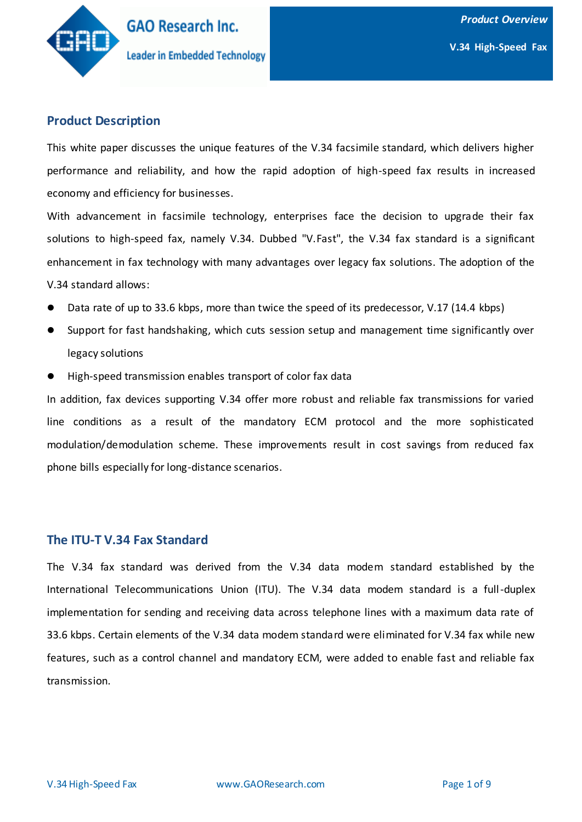

### **Product Description**

This white paper discusses the unique features of the V.34 facsimile standard, which delivers higher performance and reliability, and how the rapid adoption of high-speed fax results in increased economy and efficiency for businesses.

With advancement in facsimile technology, enterprises face the decision to upgrade their fax solutions to high-speed fax, namely V.34. Dubbed "V.Fast", the V.34 fax standard is a significant enhancement in fax technology with many advantages over legacy fax solutions. The adoption of the V.34 standard allows:

- Data rate of up to 33.6 kbps, more than twice the speed of its predecessor, V.17 (14.4 kbps)
- Support for fast handshaking, which cuts session setup and management time significantly over legacy solutions
- High-speed transmission enables transport of color fax data

In addition, fax devices supporting V.34 offer more robust and reliable fax transmissions for varied line conditions as a result of the mandatory ECM protocol and the more sophisticated modulation/demodulation scheme. These improvements result in cost savings from reduced fax phone bills especially for long-distance scenarios.

#### **The ITU-T V.34 Fax Standard**

The V.34 fax standard was derived from the V.34 data modem standard established by the International Telecommunications Union (ITU). The V.34 data modem standard is a full-duplex implementation for sending and receiving data across telephone lines with a maximum data rate of 33.6 kbps. Certain elements of the V.34 data modem standard were eliminated for V.34 fax while new features, such as a control channel and mandatory ECM, were added to enable fast and reliable fax transmission.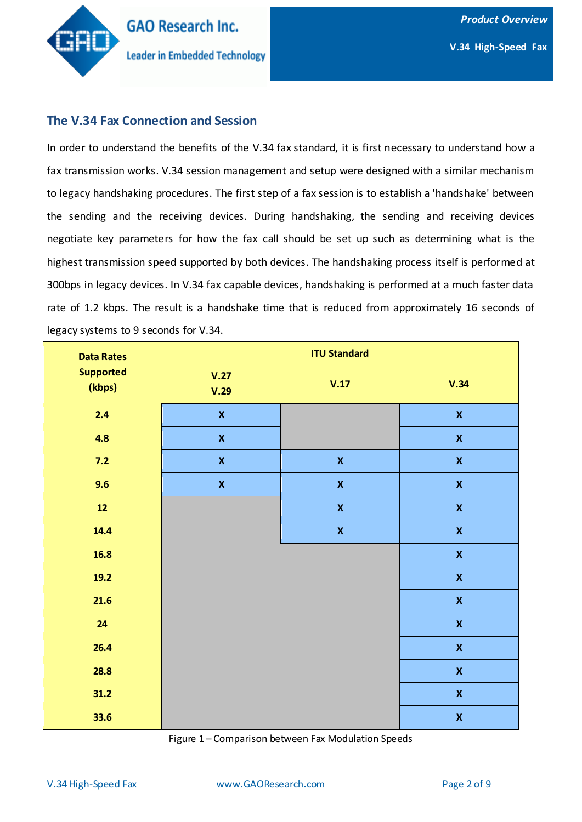

### **The V.34 Fax Connection and Session**

In order to understand the benefits of the V.34 fax standard, it is first necessary to understand how a fax transmission works. V.34 session management and setup were designed with a similar mechanism to legacy handshaking procedures. The first step of a fax session is to establish a 'handshake' between the sending and the receiving devices. During handshaking, the sending and receiving devices negotiate key parameters for how the fax call should be set up such as determining what is the highest transmission speed supported by both devices. The handshaking process itself is performed at 300bps in legacy devices. In V.34 fax capable devices, handshaking is performed at a much faster data rate of 1.2 kbps. The result is a handshake time that is reduced from approximately 16 seconds of legacy systems to 9 seconds for V.34.

| <b>Data Rates</b>          | <b>ITU Standard</b>       |                    |                           |
|----------------------------|---------------------------|--------------------|---------------------------|
| <b>Supported</b><br>(kbps) | V.27<br>V.29              | V.17               | V.34                      |
| 2.4                        | $\boldsymbol{\mathsf{X}}$ |                    | $\boldsymbol{\mathsf{X}}$ |
| 4.8                        | $\pmb{\mathsf{X}}$        |                    | $\boldsymbol{\mathsf{X}}$ |
| $7.2$                      | $\pmb{\mathsf{X}}$        | $\pmb{\mathsf{X}}$ | $\boldsymbol{\mathsf{X}}$ |
| 9.6                        | $\pmb{\mathsf{X}}$        | $\pmb{\mathsf{X}}$ | $\pmb{\mathsf{X}}$        |
| $12$                       |                           | $\pmb{\mathsf{X}}$ | $\pmb{\mathsf{X}}$        |
| 14.4                       |                           | $\pmb{\mathsf{X}}$ | $\pmb{\mathsf{X}}$        |
| 16.8                       |                           |                    | $\pmb{\mathsf{X}}$        |
| 19.2                       |                           |                    | $\pmb{\mathsf{X}}$        |
| 21.6                       |                           |                    | $\pmb{\mathsf{X}}$        |
| 24                         |                           |                    | $\pmb{\mathsf{X}}$        |
| 26.4                       |                           |                    | $\pmb{\mathsf{X}}$        |
| 28.8                       |                           |                    | $\pmb{\mathsf{X}}$        |
| 31.2                       |                           |                    | $\pmb{\mathsf{X}}$        |
| 33.6                       |                           |                    | $\pmb{\mathsf{X}}$        |

Figure 1 – Comparison between Fax Modulation Speeds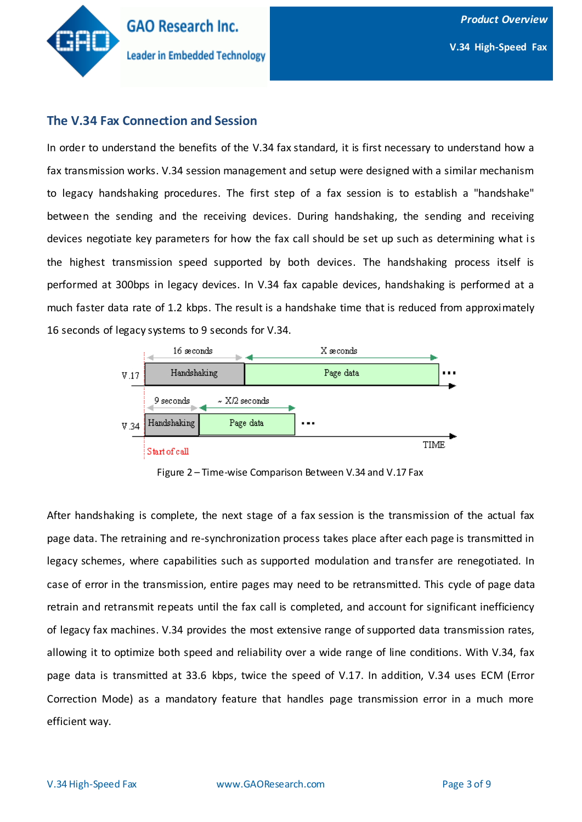

#### **The V.34 Fax Connection and Session**

In order to understand the benefits of the V.34 fax standard, it is first necessary to understand how a fax transmission works. V.34 session management and setup were designed with a similar mechanism to legacy handshaking procedures. The first step of a fax session is to establish a "handshake" between the sending and the receiving devices. During handshaking, the sending and receiving devices negotiate key parameters for how the fax call should be set up such as determining what is the highest transmission speed supported by both devices. The handshaking process itself is performed at 300bps in legacy devices. In V.34 fax capable devices, handshaking is performed at a much faster data rate of 1.2 kbps. The result is a handshake time that is reduced from approximately 16 seconds of legacy systems to 9 seconds for V.34.



Figure 2 – Time-wise Comparison Between V.34 and V.17 Fax

After handshaking is complete, the next stage of a fax session is the transmission of the actual fax page data. The retraining and re-synchronization process takes place after each page is transmitted in legacy schemes, where capabilities such as supported modulation and transfer are renegotiated. In case of error in the transmission, entire pages may need to be retransmitted. This cycle of page data retrain and retransmit repeats until the fax call is completed, and account for significant inefficiency of legacy fax machines. V.34 provides the most extensive range of supported data transmission rates, allowing it to optimize both speed and reliability over a wide range of line conditions. With V.34, fax page data is transmitted at 33.6 kbps, twice the speed of V.17. In addition, V.34 uses ECM (Error Correction Mode) as a mandatory feature that handles page transmission error in a much more efficient way.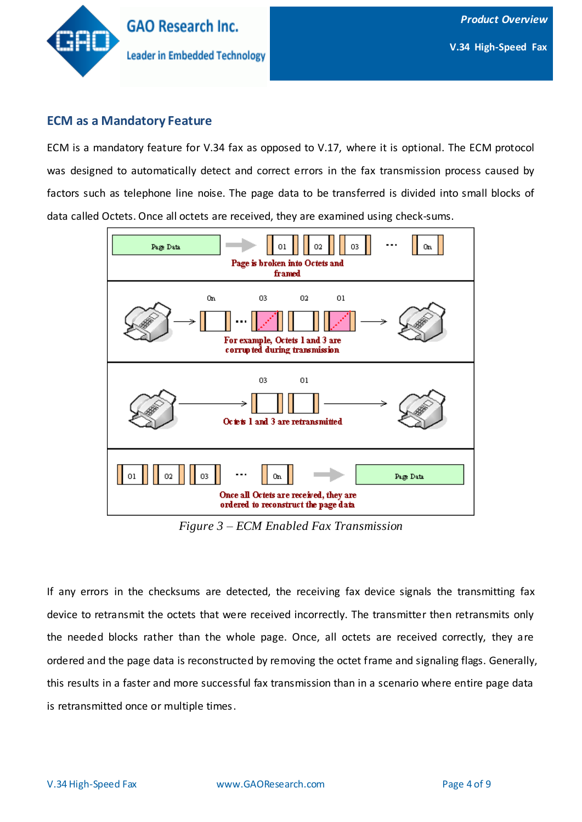

### **ECM as a Mandatory Feature**

ECM is a mandatory feature for V.34 fax as opposed to V.17, where it is optional. The ECM protocol was designed to automatically detect and correct errors in the fax transmission process caused by factors such as telephone line noise. The page data to be transferred is divided into small blocks of data called Octets. Once all octets are received, they are examined using check-sums.



*Figure 3 – ECM Enabled Fax Transmission*

If any errors in the checksums are detected, the receiving fax device signals the transmitting fax device to retransmit the octets that were received incorrectly. The transmitter then retransmits only the needed blocks rather than the whole page. Once, all octets are received correctly, they are ordered and the page data is reconstructed by removing the octet frame and signaling flags. Generally, this results in a faster and more successful fax transmission than in a scenario where entire page data is retransmitted once or multiple times.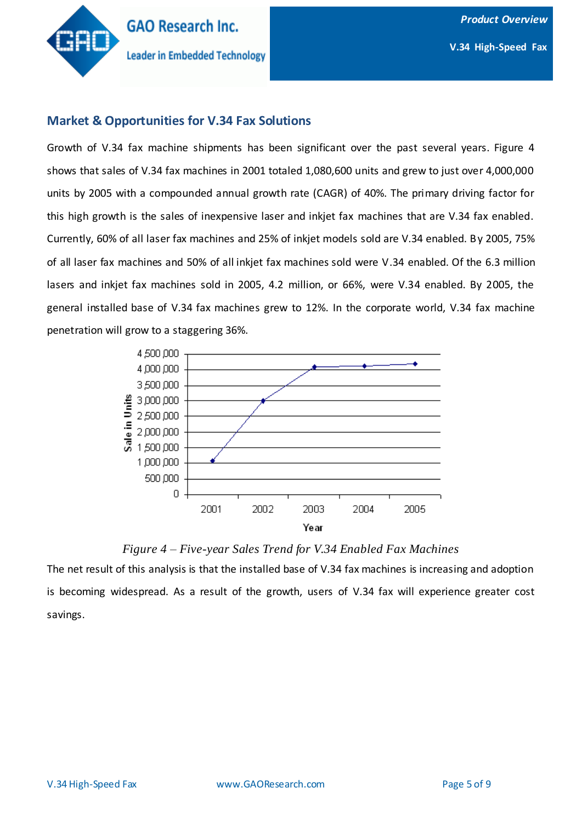

### **Market & Opportunities for V.34 Fax Solutions**

Growth of V.34 fax machine shipments has been significant over the past several years. Figure 4 shows that sales of V.34 fax machines in 2001 totaled 1,080,600 units and grew to just over 4,000,000 units by 2005 with a compounded annual growth rate (CAGR) of 40%. The primary driving factor for this high growth is the sales of inexpensive laser and inkjet fax machines that are V.34 fax enabled. Currently, 60% of all laser fax machines and 25% of inkjet models sold are V.34 enabled. By 2005, 75% of all laser fax machines and 50% of all inkjet fax machines sold were V.34 enabled. Of the 6.3 million lasers and inkjet fax machines sold in 2005, 4.2 million, or 66%, were V.34 enabled. By 2005, the general installed base of V.34 fax machines grew to 12%. In the corporate world, V.34 fax machine penetration will grow to a staggering 36%.



#### *Figure 4 – Five-year Sales Trend for V.34 Enabled Fax Machines*

The net result of this analysis is that the installed base of V.34 fax machines is increasing and adoption is becoming widespread. As a result of the growth, users of V.34 fax will experience greater cost savings.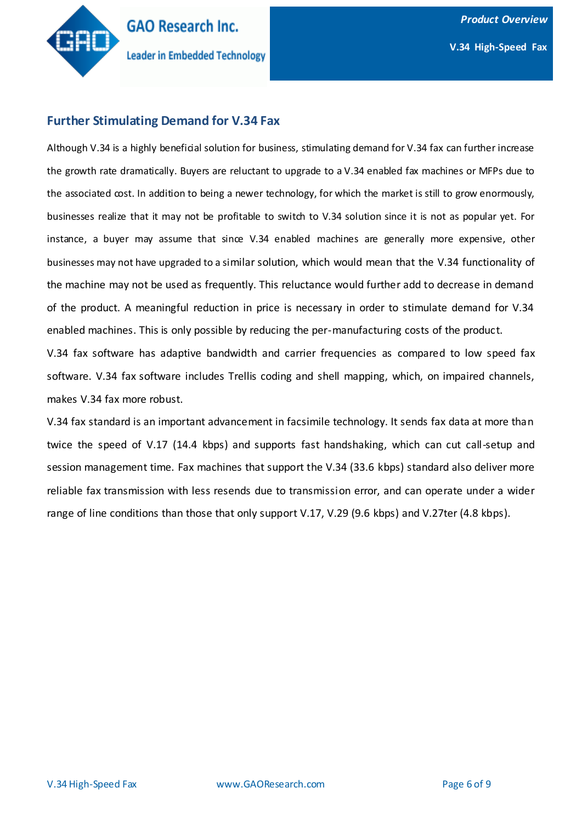

### **Further Stimulating Demand for V.34 Fax**

Although V.34 is a highly beneficial solution for business, stimulating demand for V.34 fax can further increase the growth rate dramatically. Buyers are reluctant to upgrade to a V.34 enabled fax machines or MFPs due to the associated cost. In addition to being a newer technology, for which the market is still to grow enormously, businesses realize that it may not be profitable to switch to V.34 solution since it is not as popular yet. For instance, a buyer may assume that since V.34 enabled machines are generally more expensive, other businesses may not have upgraded to a similar solution, which would mean that the V.34 functionality of the machine may not be used as frequently. This reluctance would further add to decrease in demand of the product. A meaningful reduction in price is necessary in order to stimulate demand for V.34 enabled machines. This is only possible by reducing the per-manufacturing costs of the product.

V.34 fax software has adaptive bandwidth and carrier frequencies as compared to low speed fax software. V.34 fax software includes Trellis coding and shell mapping, which, on impaired channels, makes V.34 fax more robust.

V.34 fax standard is an important advancement in facsimile technology. It sends fax data at more than twice the speed of V.17 (14.4 kbps) and supports fast handshaking, which can cut call-setup and session management time. Fax machines that support the V.34 (33.6 kbps) standard also deliver more reliable fax transmission with less resends due to transmission error, and can operate under a wider range of line conditions than those that only support V.17, V.29 (9.6 kbps) and V.27ter (4.8 kbps).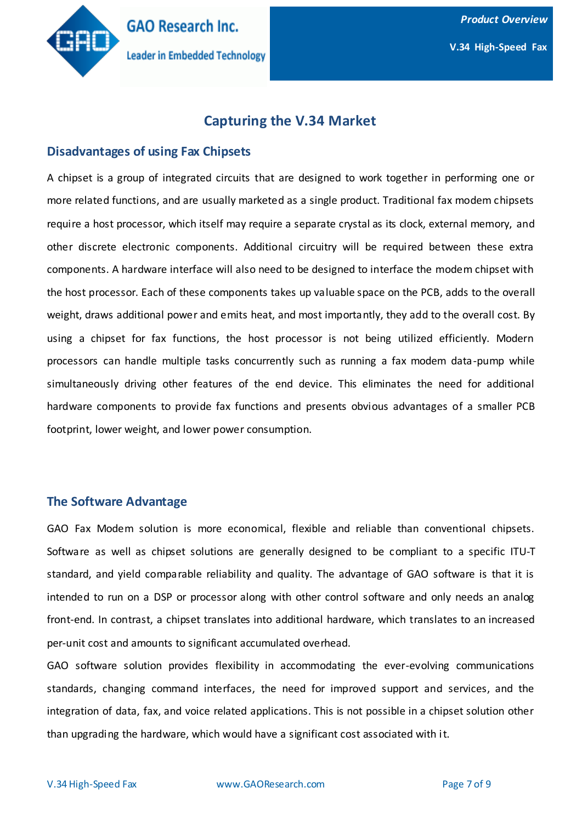

# **Capturing the V.34 Market**

#### **Disadvantages of using Fax Chipsets**

A chipset is a group of integrated circuits that are designed to work together in performing one or more related functions, and are usually marketed as a single product. Traditional fax modem chipsets require a host processor, which itself may require a separate crystal as its clock, external memory, and other discrete electronic components. Additional circuitry will be required between these extra components. A hardware interface will also need to be designed to interface the modem chipset with the host processor. Each of these components takes up valuable space on the PCB, adds to the overall weight, draws additional power and emits heat, and most importantly, they add to the overall cost. By using a chipset for fax functions, the host processor is not being utilized efficiently. Modern processors can handle multiple tasks concurrently such as running a fax modem data-pump while simultaneously driving other features of the end device. This eliminates the need for additional hardware components to provide fax functions and presents obvious advantages of a smaller PCB footprint, lower weight, and lower power consumption.

#### **The Software Advantage**

GAO Fax Modem solution is more economical, flexible and reliable than conventional chipsets. Software as well as chipset solutions are generally designed to be compliant to a specific ITU-T standard, and yield comparable reliability and quality. The advantage of GAO software is that it is intended to run on a DSP or processor along with other control software and only needs an analog front-end. In contrast, a chipset translates into additional hardware, which translates to an increased per-unit cost and amounts to significant accumulated overhead.

GAO software solution provides flexibility in accommodating the ever-evolving communications standards, changing command interfaces, the need for improved support and services, and the integration of data, fax, and voice related applications. This is not possible in a chipset solution other than upgrading the hardware, which would have a significant cost associated with it.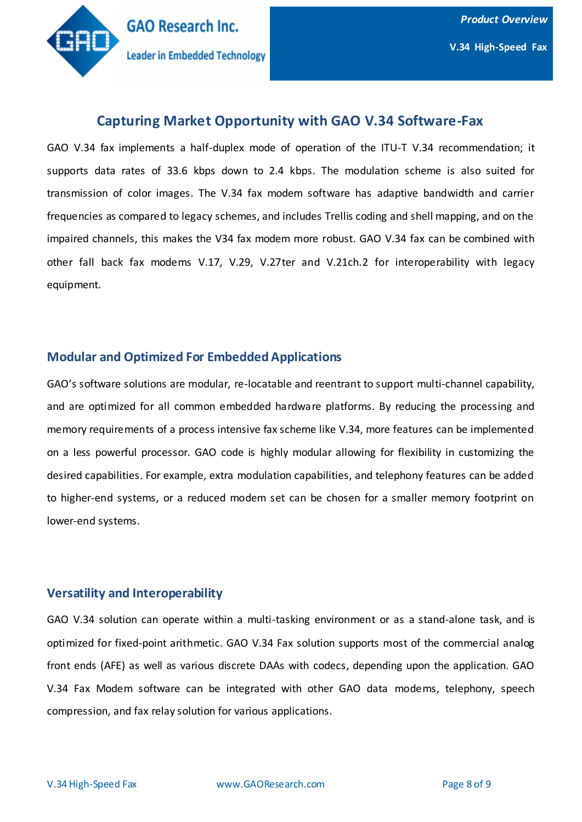

# **Capturing Market Opportunity with GAO V.34 Software-Fax**

GAO V.34 fax implements a half-duplex mode of operation of the ITU-T V.34 recommendation; it supports data rates of 33.6 kbps down to 2.4 kbps. The modulation scheme is also suited for transmission of color images. The V.34 fax modem software has adaptive bandwidth and carrier frequencies as compared to legacy schemes, and includes Trellis coding and shell mapping, and on the impaired channels, this makes the V34 fax modem more robust. GAO V.34 fax can be combined with other fall back fax modems V.17, V.29, V.27ter and V.21ch.2 for interoperability with legacy equipment.

### **Modular and Optimized For Embedded Applications**

GAO's software solutions are modular, re-locatable and reentrant to support multi-channel capability, and are optimized for all common embedded hardware platforms. By reducing the processing and memory requirements of a process intensive fax scheme like V.34, more features can be implemented on a less powerful processor. GAO code is highly modular allowing for flexibility in customizing the desired capabilities. For example, extra modulation capabilities, and telephony features can be added to higher-end systems, or a reduced modem set can be chosen for a smaller memory footprint on lower-end systems.

## **Versatility and Interoperability**

GAO V.34 solution can operate within a multi-tasking environment or as a stand-alone task, and is optimized for fixed-point arithmetic. GAO V.34 Fax solution supports most of the commercial analog front ends (AFE) as well as various discrete DAAs with codecs, depending upon the application. GAO V.34 Fax Modem software can be integrated with other GAO data modems, telephony, speech compression, and fax relay solution for various applications.